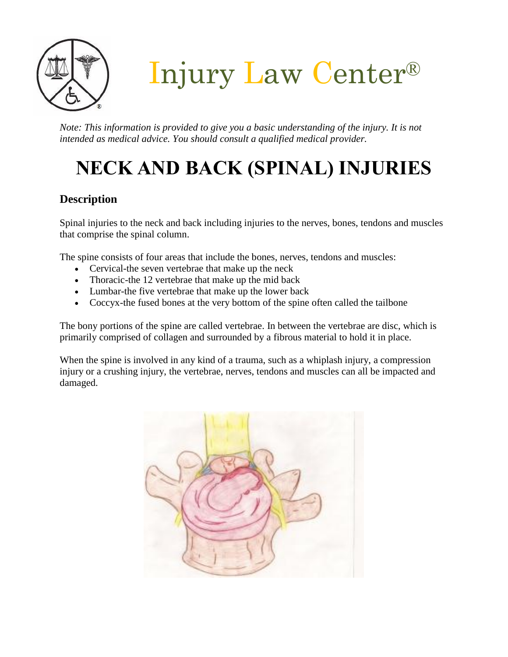

Injury Law Center®

*Note: This information is provided to give you a basic understanding of the injury. It is not intended as medical advice. You should consult a qualified medical provider.*

# **NECK AND BACK (SPINAL) INJURIES**

# **Description**

Spinal injuries to the neck and back including injuries to the nerves, bones, tendons and muscles that comprise the spinal column.

The spine consists of four areas that include the bones, nerves, tendons and muscles:

- Cervical-the seven vertebrae that make up the neck
- Thoracic-the 12 vertebrae that make up the mid back
- Lumbar-the five vertebrae that make up the lower back
- Coccyx-the fused bones at the very bottom of the spine often called the tailbone

The bony portions of the spine are called vertebrae. In between the vertebrae are disc, which is primarily comprised of collagen and surrounded by a fibrous material to hold it in place.

When the spine is involved in any kind of a trauma, such as a whiplash injury, a compression injury or a crushing injury, the vertebrae, nerves, tendons and muscles can all be impacted and damaged.

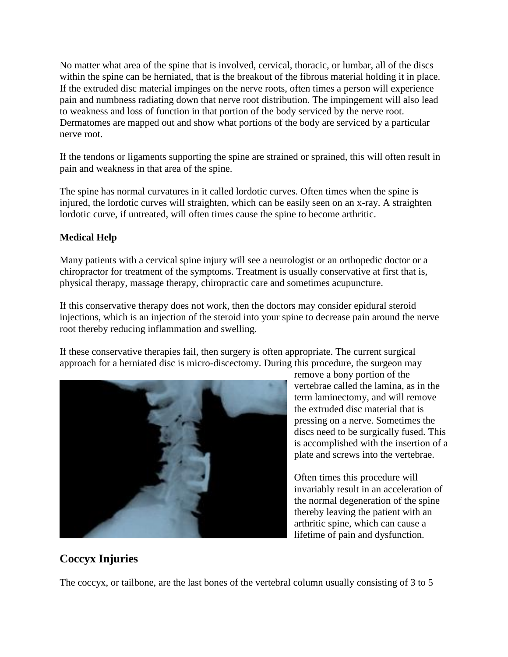No matter what area of the spine that is involved, cervical, thoracic, or lumbar, all of the discs within the spine can be herniated, that is the breakout of the fibrous material holding it in place. If the extruded disc material impinges on the nerve roots, often times a person will experience pain and numbness radiating down that nerve root distribution. The impingement will also lead to weakness and loss of function in that portion of the body serviced by the nerve root. Dermatomes are mapped out and show what portions of the body are serviced by a particular nerve root.

If the tendons or ligaments supporting the spine are strained or sprained, this will often result in pain and weakness in that area of the spine.

The spine has normal curvatures in it called lordotic curves. Often times when the spine is injured, the lordotic curves will straighten, which can be easily seen on an x-ray. A straighten lordotic curve, if untreated, will often times cause the spine to become arthritic.

#### **Medical Help**

Many patients with a cervical spine injury will see a neurologist or an orthopedic doctor or a chiropractor for treatment of the symptoms. Treatment is usually conservative at first that is, physical therapy, massage therapy, chiropractic care and sometimes acupuncture.

If this conservative therapy does not work, then the doctors may consider epidural steroid injections, which is an injection of the steroid into your spine to decrease pain around the nerve root thereby reducing inflammation and swelling.

If these conservative therapies fail, then surgery is often appropriate. The current surgical approach for a herniated disc is micro-discectomy. During this procedure, the surgeon may



remove a bony portion of the vertebrae called the lamina, as in the term laminectomy, and will remove the extruded disc material that is pressing on a nerve. Sometimes the discs need to be surgically fused. This is accomplished with the insertion of a plate and screws into the vertebrae.

Often times this procedure will invariably result in an acceleration of the normal degeneration of the spine thereby leaving the patient with an arthritic spine, which can cause a lifetime of pain and dysfunction.

## **Coccyx Injuries**

The coccyx, or tailbone, are the last bones of the vertebral column usually consisting of 3 to 5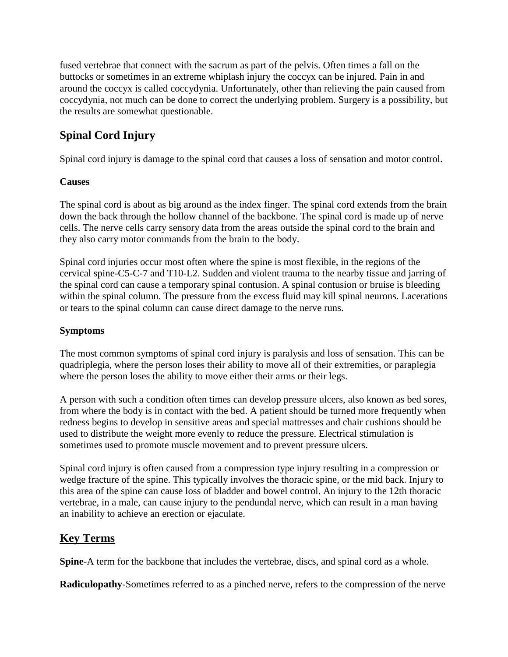fused vertebrae that connect with the sacrum as part of the pelvis. Often times a fall on the buttocks or sometimes in an extreme whiplash injury the coccyx can be injured. Pain in and around the coccyx is called coccydynia. Unfortunately, other than relieving the pain caused from coccydynia, not much can be done to correct the underlying problem. Surgery is a possibility, but the results are somewhat questionable.

# **Spinal Cord Injury**

Spinal cord injury is damage to the spinal cord that causes a loss of sensation and motor control.

### **Causes**

The spinal cord is about as big around as the index finger. The spinal cord extends from the brain down the back through the hollow channel of the backbone. The spinal cord is made up of nerve cells. The nerve cells carry sensory data from the areas outside the spinal cord to the brain and they also carry motor commands from the brain to the body.

Spinal cord injuries occur most often where the spine is most flexible, in the regions of the cervical spine-C5-C-7 and T10-L2. Sudden and violent trauma to the nearby tissue and jarring of the spinal cord can cause a temporary spinal contusion. A spinal contusion or bruise is bleeding within the spinal column. The pressure from the excess fluid may kill spinal neurons. Lacerations or tears to the spinal column can cause direct damage to the nerve runs.

## **Symptoms**

The most common symptoms of spinal cord injury is paralysis and loss of sensation. This can be quadriplegia, where the person loses their ability to move all of their extremities, or paraplegia where the person loses the ability to move either their arms or their legs.

A person with such a condition often times can develop pressure ulcers, also known as bed sores, from where the body is in contact with the bed. A patient should be turned more frequently when redness begins to develop in sensitive areas and special mattresses and chair cushions should be used to distribute the weight more evenly to reduce the pressure. Electrical stimulation is sometimes used to promote muscle movement and to prevent pressure ulcers.

Spinal cord injury is often caused from a compression type injury resulting in a compression or wedge fracture of the spine. This typically involves the thoracic spine, or the mid back. Injury to this area of the spine can cause loss of bladder and bowel control. An injury to the 12th thoracic vertebrae, in a male, can cause injury to the pendundal nerve, which can result in a man having an inability to achieve an erection or ejaculate.

## **Key Terms**

**Spine**-A term for the backbone that includes the vertebrae, discs, and spinal cord as a whole.

**Radiculopathy**-Sometimes referred to as a pinched nerve, refers to the compression of the nerve